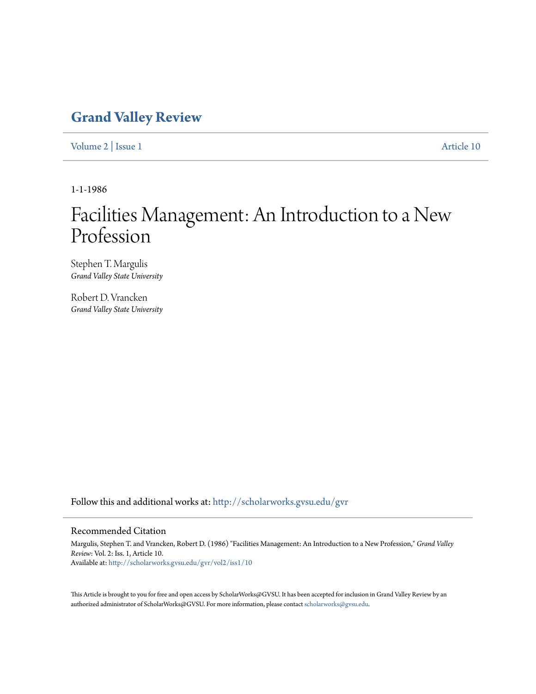## **[Grand Valley Review](http://scholarworks.gvsu.edu/gvr?utm_source=scholarworks.gvsu.edu%2Fgvr%2Fvol2%2Fiss1%2F10&utm_medium=PDF&utm_campaign=PDFCoverPages)**

[Volume 2](http://scholarworks.gvsu.edu/gvr/vol2?utm_source=scholarworks.gvsu.edu%2Fgvr%2Fvol2%2Fiss1%2F10&utm_medium=PDF&utm_campaign=PDFCoverPages) | [Issue 1](http://scholarworks.gvsu.edu/gvr/vol2/iss1?utm_source=scholarworks.gvsu.edu%2Fgvr%2Fvol2%2Fiss1%2F10&utm_medium=PDF&utm_campaign=PDFCoverPages) [Article 10](http://scholarworks.gvsu.edu/gvr/vol2/iss1/10?utm_source=scholarworks.gvsu.edu%2Fgvr%2Fvol2%2Fiss1%2F10&utm_medium=PDF&utm_campaign=PDFCoverPages)

1-1-1986

# Facilities Management: An Introduction to a New Profession

Stephen T. Margulis *Grand Valley State University*

Robert D. Vrancken *Grand Valley State University*

Follow this and additional works at: [http://scholarworks.gvsu.edu/gvr](http://scholarworks.gvsu.edu/gvr?utm_source=scholarworks.gvsu.edu%2Fgvr%2Fvol2%2Fiss1%2F10&utm_medium=PDF&utm_campaign=PDFCoverPages)

## Recommended Citation

Margulis, Stephen T. and Vrancken, Robert D. (1986) "Facilities Management: An Introduction to a New Profession," *Grand Valley Review*: Vol. 2: Iss. 1, Article 10. Available at: [http://scholarworks.gvsu.edu/gvr/vol2/iss1/10](http://scholarworks.gvsu.edu/gvr/vol2/iss1/10?utm_source=scholarworks.gvsu.edu%2Fgvr%2Fvol2%2Fiss1%2F10&utm_medium=PDF&utm_campaign=PDFCoverPages)

This Article is brought to you for free and open access by ScholarWorks@GVSU. It has been accepted for inclusion in Grand Valley Review by an authorized administrator of ScholarWorks@GVSU. For more information, please contact [scholarworks@gvsu.edu.](mailto:scholarworks@gvsu.edu)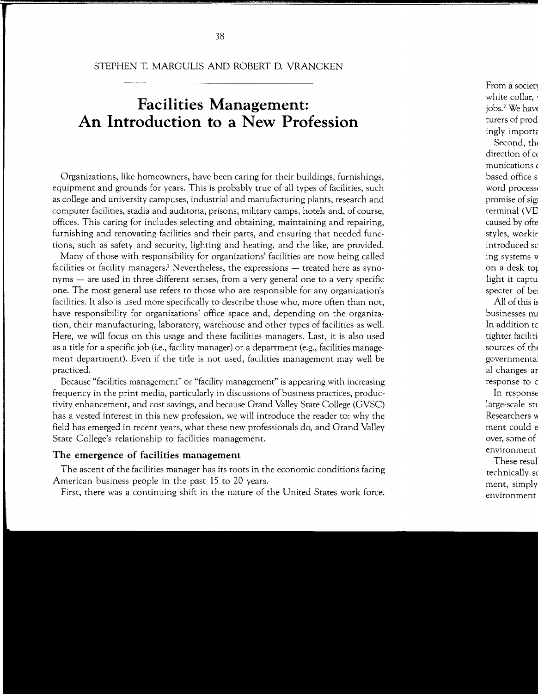STEPHEN T. MARGULIS AND ROBERT D. VRANCKEN

## **Facilities Management: An Introduction to a New Profession**

Organizations, like homeowners, have been caring for their buildings, furnishings, equipment and grounds for years. This is probably true of all types of facilities, such as college and university campuses, industrial and manufacturing plants, research and computer facilities, stadia and auditoria, prisons, military camps, hotels and, of course, offices. This caring for includes selecting and obtaining, maintaining and repairing, furnishing and renovating facilities and their parts, and ensuring that needed functions, such as safety and security, lighting and heating, and the like, are provided.

Many of those with responsibility for organizations' facilities are now being called facilities or facility managers.<sup>1</sup> Nevertheless, the expressions  $-$  treated here as synonyms – are used in three different senses, from a very general one to a very specific one. The most general use refers to those who are responsible for any organization's facilities. It also is used more specifically to describe those who, more often than not, have responsibility for organizations' office space and, depending on the organization, their manufacturing, laboratory, warehouse and other types of facilities as well. Here, we will focus on this usage and these facilities managers. Last, it is also used as a title for a specific job (i.e., facility manager) or a department (e.g., facilities management department). Even if the title is not used, facilities management may well be practiced.

Because "facilities management" or "facility management" is appearing with increasing frequency in the print media, particularly in discussions of business practices, productivity enhancement, and cost savings, and because Grand Valley State College (GVSC) has a vested interest in this new profession, we will introduce the reader to: why the field has emerged in recent years, what these new professionals do, and Grand Valley State College's relationship to facilities management.

## **The emergence of facilities management**

The ascent of the facilities manager has its roots in the economic conditions facing American business people in the past 15 to 20 years.

First, there was a continuing shift in the nature of the United States work force.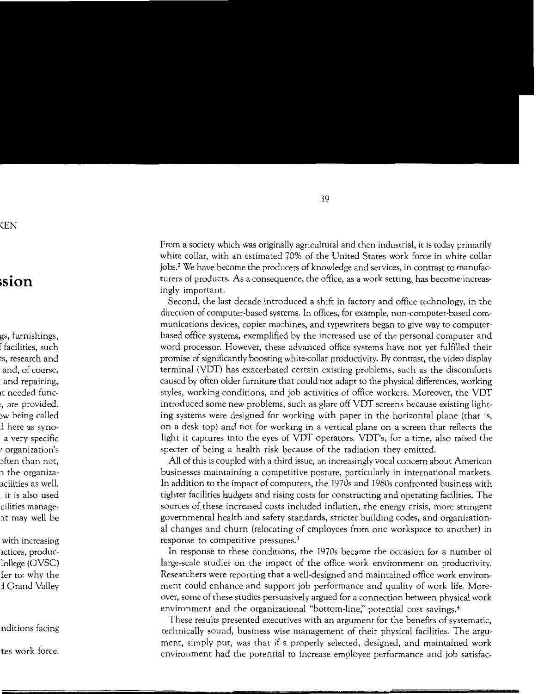From a society which was originally agricultural and then industrial, it is today primarily white collar, with an estimated 70% of the United States work force in white collar jobs.2 We have become the producers of knowledge and services, in contrast to manufacturers of products. As a consequence, the office, as a work setting, has become· increasingly important.

Second, the last decade introduced a shift in factory and office technology, in the direction of computer-based systems. In offices, for example, non-computer-based communications devices, copier machines, and typewriters began to give way to computerbased office systems, exemplified by the increased use of the personal computer and word processor. However, these advanced office systems have not yet fulfilled their promise of significantly boosting white-collar productivity. By contrast, the video display terminal (VDT) has exacerbated certain existing problems, such as the discomforts caused by often older furniture that could not adapt to the physical differences, working styles, working conditions, and job activities of office workers. Moreover, the VDT introduced some new problems, such as glare off VDT screens because existing lighting systems were designed for working with paper in the horizontal plane (that is, on a desk top) and not for working in a vertical plane on a screen that reflects the light it captures into the eyes of VDT operators. VDT's, for a time, also raised the specter of being a health risk because of the radiation they emitted.

All of this is coupled with a third issue, an increasingly vocal concern about American businesses maintaining a competitive posture, particularly in international markets. In addition to the impact of computers, the 1970s and 1980s confronted business with tighter facilities hudgets and rising costs for constructing and operating facilities. The sources of. these increased costs included inflation, the energy crisis, more stringent governmental health and safety standards, stricter building codes, and organizational changes and churn (relocating of employees from one workspace to another) in response to competitive pressures. <sup>3</sup>

In response to these conditions, the 1970s became the occasion for a number of large-scale studies on the impact of the office work environment on productivity. Researchers were reporting that a well-designed and maintained office work environment could enhance and support job performance and quality of work life. Moreover, some of these studies persuasively argued for a connection between physical work environment and the organizational "bottom-line," potential cost savings.<sup>4</sup>

These results presented executives with an argument for the benefits of systematic, technically sound, business wise management of their physical facilities. The argument, simply put, was that if a properly selected, designed, and maintained work environment had the potential to increase employee performance and job satisfac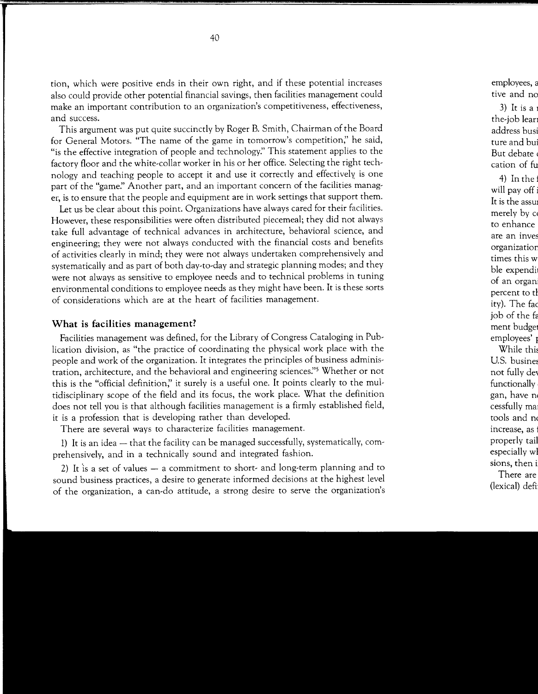tion, which were positive ends in their own right, and if these potential increases also could provide other potential financial savings, then facilities management could make an important contribution to an organization's competitiveness, effectiveness, and success.

This argument was put quite succinctly by Roger B. Smith, Chairman of the Board for General Motors. "The name of the game in tomorrow's competition;' he said, "is the effective integration of people and technology:' This statement applies to the factory floor and the white-collar worker in his or her office. Selecting the right technology and teaching people to accept it and use it correctly and effectively is one part of the "game:' Another part, and an important concern of the facilities manager, is to ensure that the people and equipment are in work settings that support them.

Let us be clear about this point. Organizations have always cared for their facilities. However, these responsibilities were often distributed piecemeal; they did not always take full advantage of technical advances in architecture, behavioral science, and engineering; they were not always conducted with the financial costs and benefits of activities clearly in mind; they were not always undertaken comprehensively and systematically and as part of both day-to-day and strategic planning modes; and they were not always as sensitive to employee needs and to technical problems in tuning environmental conditions to employee needs as they might have been. It is these sorts of considerations which are at the heart of facilities management.

## **What is facilities management?**

Facilities management was defined, for the Library of Congress Cataloging in Publication division, as "the practice of coordinating the physical work place with the people and work of the organization. It integrates the principles of business administration, architecture, and the behavioral and engineering sciences:'5 Whether or not this is the "official definition;' it surely is a useful one. It points clearly to the multidisciplinary scope of the field and its focus, the work place. What the definition does not tell you is that although facilities management is a firmly established field, it is a profession that is developing rather than developed.

There are several ways to characterize facilities management.

1) It is an idea - that the facility can be managed successfully, systematically, comprehensively, and in a technically sound and integrated fashion.

2) It is a set of values  $-$  a commitment to short- and long-term planning and to sound business practices, a desire to generate informed decisions at the highest level of the organization, a can-do attitude, a strong desire to serve the organization's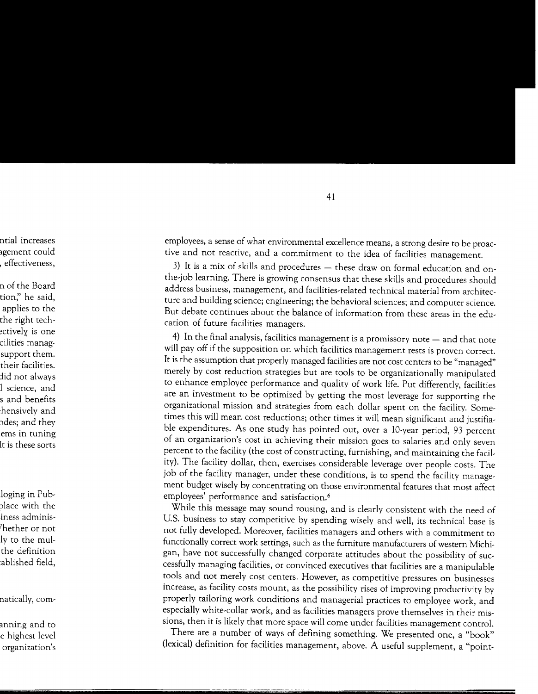employees, a sense of what environmental excellence means, a strong desire to be proactive and not reactive, and a commitment to the idea of facilities management.

3) It is a mix of skills and procedures - these draw on formal education and onthe-job learning. There is growing consensus that these skills and procedures should address business, management, and facilities-related technical material from architecture and building science; engineering; the behavioral sciences; and computer science. But debate continues about the balance of information from these areas in the education of future facilities managers.

4) In the final analysis, facilities management is a promissory note - and that note will pay off if the supposition on which facilities management rests is proven correct. It is the assumption that properly managed facilities are not cost centers to be "managed" merely by cost reduction strategies but are tools to be organizationally manipulated to enhance employee performance and quality of work life. Put differently, facilities are an investment to be optimized by getting the most leverage for supporting the organizational mission and strategies from each dollar spent on the facility. Sometimes this will mean cost reductions; other times it will mean significant and justifiable expenditures. As one study has pointed out, over a 10-year period, 93 percent of an organization's cost in achieving their mission goes to salaries and only seven percent to the facility (the cost of constructing, furnishing, and maintaining the facility). The facility dollar, then, exercises considerable leverage over people costs. The job of the facility manager, under these conditions, is to spend the facility management budget wisely by concentrating on those environmental features that most affect employees' performance and satisfaction.<sup>6</sup>

While this message may sound rousing, and is clearly consistent with the need of U.S. business to stay competitive by spending wisely and well, its technical base is not fully developed. Moreover, facilities managers and others with a commitment to functionally correct work settings, such as the furniture manufacturers of western Michigan, have not successfully changed corporate attitudes about the possibility of successfully managing facilities, or convinced executives that facilities are a manipulable tools and not merely cost centers. However, as competitive pressures on businesses increase, as facility costs mount, as the possibility rises of improving productivity by properly tailoring work conditions and managerial practices to employee work, and especially white-collar work, and as facilities managers prove themselves in their missions, then it is likely that more space will come under facilities management control.

There are a number of ways of defining something. We presented one, a "book" (lexical) definition for facilities management, above. A useful supplement, a "point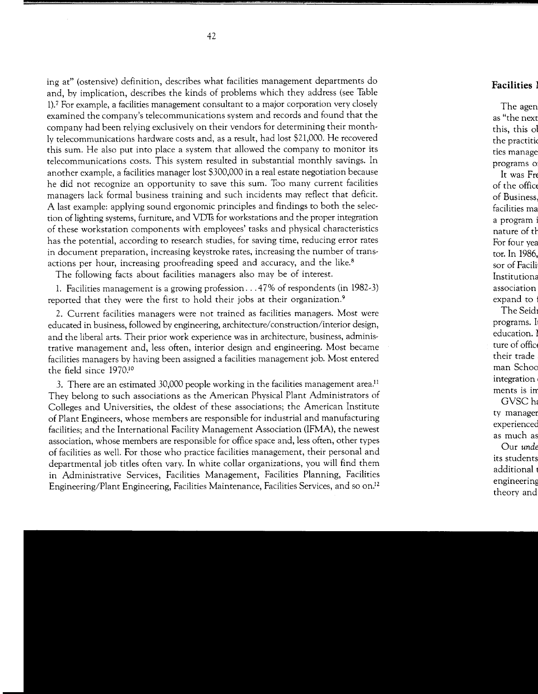ing at" (ostensive) definition, describes what facilities management departments do and, by implication, describes the kinds of problems which they address (see Table 1).7 For example, a facilities management consultant to a major corporation very closely examined the company's telecommunications system and records and found that the company had been relying exclusively on their vendors for determining their monthly telecommunications hardware costs and, as a result, had lost \$21,000. He recovered this sum. He also put into place a system that allowed the company to monitor its telecommunications costs. This system resulted in substantial monthly savings. In another example, a facilities manager lost \$300,000 in a real estate negotiation because he did not recognize an opportunity to save this sum. Too many current facilities managers lack formal business training and such incidents may reflect that deficit. A last example: applying sound ergonomic principles and findings to both the selection of lighting systems, furniture, and VDfs for workstations and the proper integration of these workstation components with employees' tasks and physical characteristics has the potential, according to research studies, for saving time, reducing error rates in document preparation, increasing keystroke rates, increasing the number of transactions per hour, increasing proofreading speed and accuracy, and the like.<sup>8</sup>

The following facts about facilities managers also may be of interest.

1. Facilities management is a growing profession ... 47% of respondents (in 1982-3) reported that they were the first to hold their jobs at their organization.<sup>9</sup>

2. Current facilities managers were not trained as facilities managers. Most were educated in business, followed by engineering, architecture/construction/interior design, and the liberal arts. Their prior work experience was in architecture, business, administrative management and, less often, interior design and engineering. Most became facilities managers by having been assigned a facilities management job. Most entered the field since 1970.1°

3. There are an estimated 30,000 people working in the facilities management area.<sup>11</sup> They belong to such associations as the American Physical Plant Administrators of Colleges and Universities, the oldest of these associations; the American Institute of Plant Engineers, whose members are responsible for industrial and manufacturing facilities; and the International Facility Management Association (IFMA), the newest association, whose members are responsible for office space and, less often, other types of facilities as well. For those who practice facilities management, their personal and departmental job titles often vary. In white collar organizations, you will find them in Administrative Services, Facilities Management, Facilities Planning, Facilities Engineering/Plant Engineering, Facilities Maintenance, Facilities Services, and so on.<sup>12</sup>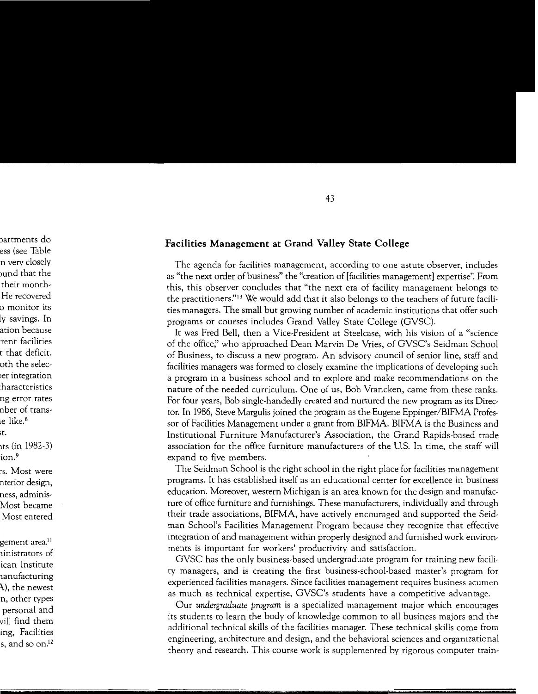## Facilities Management at Grand Valley State College

The agenda for facilities management, according to one astute observer, includes as "the next order of business" the "creation of [facilities management] expertise". From this, this observer concludes that "the next era of facility management belongs to the practitioners."<sup>13</sup> We would add that it also belongs to the teachers of future facilities managers. The small but growing number of academic institutions that offer such programs or courses includes Grand Valley State College (GVSC).

It was Fred Bell, then a Vice-President at Steelcase, with his vision of a "science" of the office," who approached Dean Marvin De Vries, of GVSC's Seidman School of Business, to discuss a new program. An advisory council of senior line, staff and facilities managers was formed to closely examine the implications of developing such a program in a business school and to explore and make recommendations on the nature of the needed curriculum. One of us, Bob Vrancken, came from these ranks. For four years, Bob single-handedly created and nurtured the new program as its Director. In 1986, Steve Margulis joined the program as the Eugene Eppinger/BIFMA Professor of Facilities Management under a grant from BIFMA. BIFMA is the Business and Institutional Furniture Manufacturer's Association, the Grand Rapids-based trade association for the office furniture manufacturers of the U.S. In time, the staff will expand to five members.

The Seidman School is the right school in the right place for facilities management programs. It has established itself as an educational center for excellence in business education. Moreover, western Michigan is an area known for the design and manufacture of office furniture and furnishings. These manufacturers, individually and through their trade associations, BIFMA, have actively encouraged and supported the Seidman School's Facilities Management Program because they recognize that effective integration of and management within properly designed and furnished work environments is important for workers' productivity and satisfaction.

GVSC has the only business-based undergraduate program for training new facility managers, and is creating the first business-school-based master's program for experienced facilities managers. Since facilities management requires business acumen as much as technical expertise, GVSC's students have a competitive advantage.

Our undergraduate program is a specialized management major which encourages its students to learn the body of knowledge common to all business majors and the additional technical skills of the facilities manager. These technical skills come from engineering, architecture and design, and the behavioral sciences and organizational theory and research. This course work is supplemented by rigorous computer train-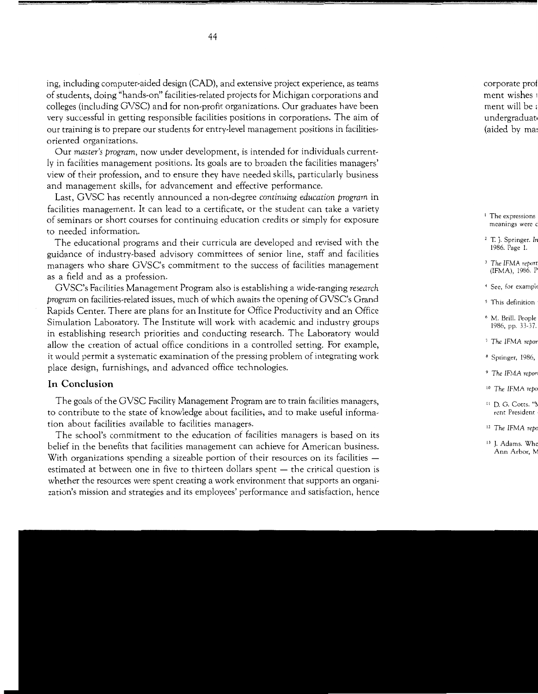ing, including computer-aided design (CAD), and extensive project experience, as teams of students, doing "hands-on" facilities-related projects for Michigan corporations and colleges (including GVSC) and for non-profit organizations. Our graduates have been very successful in getting responsible facilities positions in corporations. The aim of our training is to prepare our students for entry-level management positions in facilitiesoriented organizations.

Our *master's program,* now under development, is intended for individuals currently in facilities management positions. Its goals are to broaden the facilities managers' view of their profession, and to ensure they have needed skills, particularly business and management skills, for advancement and effective performance.

Last, GVSC has recently announced a non-degree *continuing education program* in facilities management. It can lead to a certificate, or the student can take a variety of seminars or short courses for continuing education credits or simply for exposure to needed information.

The educational programs and their curricula are developed and revised with the guidance of industry-based advisory committees of senior line, staff and facilities managers who share GVSC's commitment to the success of facilities management as a field and as a profession.

GVSC's Facilities Management Program also is establishing a wide-ranging *research program* on facilities-related issues, much of which awaits the opening of GVSC's Grand Rapids Center. There are plans for an Institute for Office Productivity and an Office Simulation Laboratory. The Institute will work with academic and industry groups in establishing research priorities and conducting research. The Laboratory would allow the creation of actual office conditions in a controlled setting. For example, it would permit a systematic examination of the pressing problem of integrating work place design, furnishings, and advanced office technologies.

### **In Conclusion**

The goals of the GVSC Facility Management Program are to train facilities managers, to contribute to the state of knowledge about facilities, and to make useful information about facilities available to facilities managers.

The school's commitment to the education of facilities managers is based on its belief in the benefits that facilities management can achieve for American business. With organizations spending a sizeable portion of their resources on its facilities estimated at between one in five to thirteen dollars spent – the critical question is whether the resources were spent creating a work environment that supports an organization's mission and strategies and its employees' performance and satisfaction, hence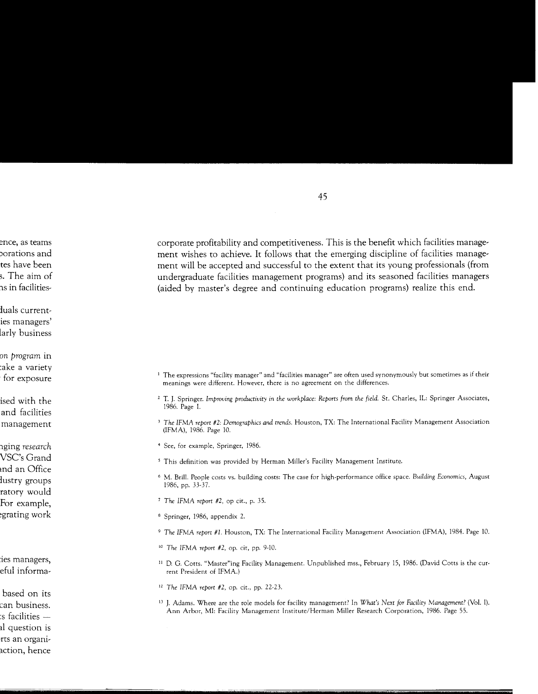corporate profitability and competitiveness. This is the benefit which facilities management wishes to achieve. It follows that the emerging discipline of facilities management will be accepted and successful to the extent that its young professionals (from undergraduate facilities management programs) and its seasoned facilities managers (aided by master's degree and continuing education programs) realize this end.

- <sup>1</sup> The expressions "facility manager" and "facilities manager" are often used synonymously but sometimes as if their meanings were different. However, there is no agreement on the differences.
- <sup>2</sup> T. J. Springer. Improving productivity in the workplace: Reports from the field. St. Charles, IL: Springer Associates, 1986. Page I.
- <sup>3</sup> The IFMA report #2: Demographics and trends. Houston, TX: The International Facility Management Association (IFMA), 1986. Page 10.
- <sup>4</sup> See, for example, Springer, 1986.
- <sup>5</sup> This definition was provided by Herman Miller's Facility Management Institute.
- <sup>6</sup> M. Brill. People costs vs. building costs: The case for high-performance office space. Building Economics, August 1986, pp. 33-37.
- <sup>7</sup> The IFMA report #2, op cit., p. 35.
- <sup>8</sup> Springer, 1986, appendix 2.
- <sup>9</sup> The IFMA report #1. Houston, TX: The International Facility Management Association (IFMA), 1984. Page 10.
- <sup>10</sup> The IFMA report #2, op. cit, pp. 9-10.
- <sup>11</sup> D. G. Cotts. "Master"ing Facility Management. Unpublished mss., February 15, 1986. (David Cotts is the current President of IFMA.)
- <sup>12</sup> The IFMA report  $#2$ , op. cit., pp. 22-23.
- <sup>13</sup> J. Adams. Where are the role models for facility management? In What's Next for Facility Management? (Vol. I). Ann Arbor, MI: Facility Management Institute/Herman Miller Research Corporation, 1986. Page 55.